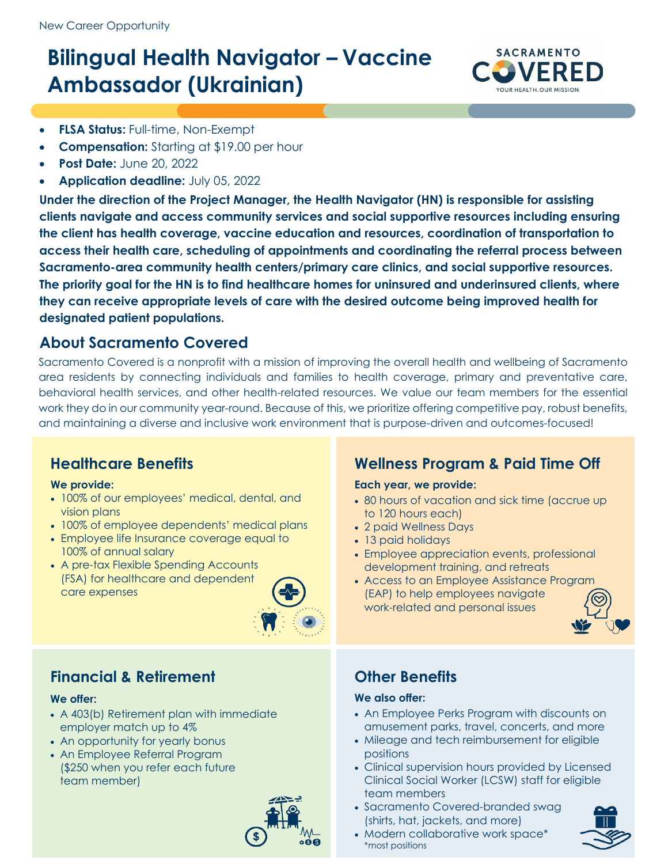# **Bilingual Health Navigator – Vaccine Ambassador (Ukrainian)**



- **FLSA Status:** Full-time, Non-Exempt
- **Compensation:** Starting at \$19.00 per hour
- **Post Date:** June 20, 2022
- **Application deadline:** July 05, 2022

**Under the direction of the Project Manager, the Health Navigator (HN) is responsible for assisting clients navigate and access community services and social supportive resources including ensuring the client has health coverage, vaccine education and resources, coordination of transportation to access their health care, scheduling of appointments and coordinating the referral process between Sacramento-area community health centers/primary care clinics, and social supportive resources. The priority goal for the HN is to find healthcare homes for uninsured and underinsured clients, where they can receive appropriate levels of care with the desired outcome being improved health for designated patient populations.**

### **About Sacramento Covered**

Sacramento Covered is a nonprofit with a mission of improving the overall health and wellbeing of Sacramento area residents by connecting individuals and families to health coverage, primary and preventative care, behavioral health services, and other health-related resources. We value our team members for the essential work they do in our community year-round. Because of this, we prioritize offering competitive pay, robust benefits, and maintaining a diverse and inclusive work environment that is purpose-driven and outcomes-focused!

### **Healthcare Benefits**

### **We provide:**

- 100% of our employees' medical, dental, and vision plans
- 100% of employee dependents' medical plans
- Employee life Insurance coverage equal to 100% of annual salary
- A pre-tax Flexible Spending Accounts (FSA) for healthcare and dependent care expenses



### **Financial & Retirement**

### **We offer:**

- A 403(b) Retirement plan with immediate employer match up to 4%
- An opportunity for yearly bonus
- An Employee Referral Program (\$250 when you refer each future team member)



# **Wellness Program & Paid Time Off**

### **Each year, we provide:**

- 80 hours of vacation and sick time (accrue up to 120 hours each)
- 2 paid Wellness Days
- 13 paid holidays
- Employee appreciation events, professional development training, and retreats
- Access to an Employee Assistance Program (EAP) to help employees navigate work-related and personal issues



### **Other Benefits**

### **We also offer:**

- An Employee Perks Program with discounts on amusement parks, travel, concerts, and more
- Mileage and tech reimbursement for eligible positions
- Clinical supervision hours provided by Licensed Clinical Social Worker (LCSW) staff for eligible team members
- Sacramento Covered-branded swag (shirts, hat, jackets, and more)
- Modern collaborative work space\* \*most positions

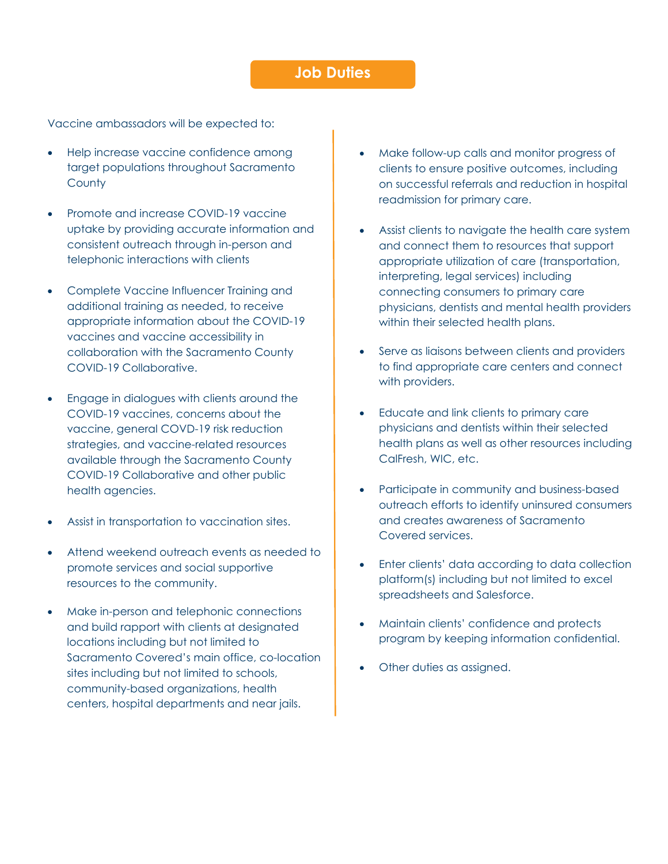### **Job Duties**

Vaccine ambassadors will be expected to:

- Help increase vaccine confidence among target populations throughout Sacramento **County**
- Promote and increase COVID-19 vaccine uptake by providing accurate information and consistent outreach through in-person and telephonic interactions with clients
- Complete Vaccine Influencer Training and additional training as needed, to receive appropriate information about the COVID-19 vaccines and vaccine accessibility in collaboration with the Sacramento County COVID-19 Collaborative.
- Engage in dialogues with clients around the COVID-19 vaccines, concerns about the vaccine, general COVD-19 risk reduction strategies, and vaccine-related resources available through the Sacramento County COVID-19 Collaborative and other public health agencies.
- Assist in transportation to vaccination sites.
- Attend weekend outreach events as needed to promote services and social supportive resources to the community.
- Make in-person and telephonic connections and build rapport with clients at designated locations including but not limited to Sacramento Covered's main office, co-location sites including but not limited to schools, community-based organizations, health centers, hospital departments and near jails.
- Make follow-up calls and monitor progress of clients to ensure positive outcomes, including on successful referrals and reduction in hospital readmission for primary care.
- Assist clients to navigate the health care system and connect them to resources that support appropriate utilization of care (transportation, interpreting, legal services) including connecting consumers to primary care physicians, dentists and mental health providers within their selected health plans.
- Serve as liaisons between clients and providers to find appropriate care centers and connect with providers.
- Educate and link clients to primary care physicians and dentists within their selected health plans as well as other resources including CalFresh, WIC, etc.
- Participate in community and business-based outreach efforts to identify uninsured consumers and creates awareness of Sacramento Covered services.
- Enter clients' data according to data collection platform(s) including but not limited to excel spreadsheets and Salesforce.
- Maintain clients' confidence and protects program by keeping information confidential.
- Other duties as assigned.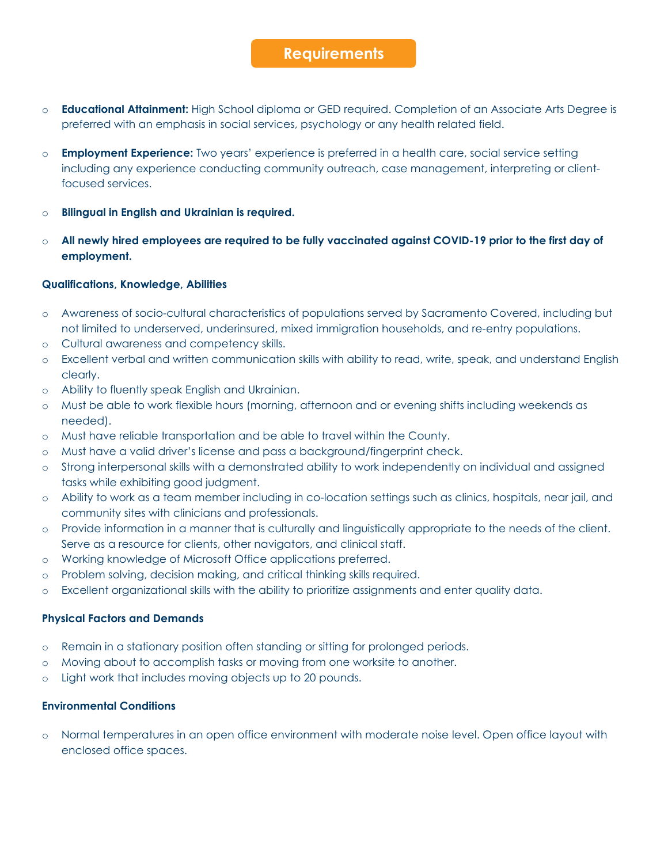### **Requirements**

- o **Educational Attainment:** High School diploma or GED required. Completion of an Associate Arts Degree is preferred with an emphasis in social services, psychology or any health related field.
- o **Employment Experience:** Two years' experience is preferred in a health care, social service setting including any experience conducting community outreach, case management, interpreting or clientfocused services.
- o **Bilingual in English and Ukrainian is required.**
- o **All newly hired employees are required to be fully vaccinated against COVID-19 prior to the first day of employment.**

#### **Qualifications, Knowledge, Abilities**

- o Awareness of socio-cultural characteristics of populations served by Sacramento Covered, including but not limited to underserved, underinsured, mixed immigration households, and re-entry populations.
- o Cultural awareness and competency skills.
- o Excellent verbal and written communication skills with ability to read, write, speak, and understand English clearly.
- o Ability to fluently speak English and Ukrainian.
- o Must be able to work flexible hours (morning, afternoon and or evening shifts including weekends as needed).
- o Must have reliable transportation and be able to travel within the County.
- o Must have a valid driver's license and pass a background/fingerprint check.
- o Strong interpersonal skills with a demonstrated ability to work independently on individual and assigned tasks while exhibiting good judgment.
- o Ability to work as a team member including in co-location settings such as clinics, hospitals, near jail, and community sites with clinicians and professionals.
- o Provide information in a manner that is culturally and linguistically appropriate to the needs of the client. Serve as a resource for clients, other navigators, and clinical staff.
- o Working knowledge of Microsoft Office applications preferred.
- o Problem solving, decision making, and critical thinking skills required.
- o Excellent organizational skills with the ability to prioritize assignments and enter quality data.

#### **Physical Factors and Demands**

- o Remain in a stationary position often standing or sitting for prolonged periods.
- o Moving about to accomplish tasks or moving from one worksite to another.
- o Light work that includes moving objects up to 20 pounds.

#### **Environmental Conditions**

o Normal temperatures in an open office environment with moderate noise level. Open office layout with enclosed office spaces.